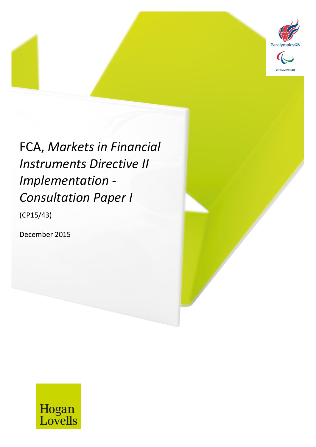

# FCA, *Markets in Financial Instruments Directive II Implementation - Consultation Paper I*

MiFID II *31 December 2016* 1

(CP15/43)

December 2015

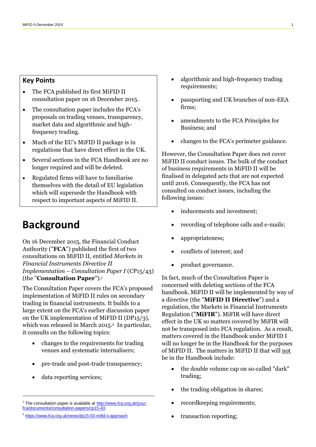#### **Key Points**

- The FCA published its first MiFID II consultation paper on 16 December 2015.
- The consultation paper includes the FCA's proposals on trading venues, transparency, market data and algorithmic and highfrequency trading.
- Much of the EU's MiFID II package is in regulations that have direct effect in the UK.
- Several sections in the FCA Handbook are no longer required and will be deleted.
- Regulated firms will have to familiarise themselves with the detail of EU legislation which will supersede the Handbook with respect to important aspects of MiFID II.

## **Background**

On 16 December 2015, the Financial Conduct Authority ("**FCA**") published the first of two consultations on MiFID II, entitled *Markets in Financial Instruments Directive II Implementation – Consultation Paper I* (CP15/43) (the "**Consultation Paper**"). 1

The Consultation Paper covers the FCA's proposed implementation of MiFID II rules on secondary trading in financial instruments. It builds to a large extent on the FCA's earlier discussion paper on the UK implementation of MiFID II (DP15/3), which was released in March 2015.<sup>2</sup> In particular, it consults on the following topics:

- changes to the requirements for trading venues and systematic internalisers;
- pre-trade and post-trade transparency;
- data reporting services;

1

- algorithmic and high-frequency trading requirements;
- passporting and UK branches of non-EEA firms;
- amendments to the FCA Principles for Business; and
- changes to the FCA's perimeter guidance.

However, the Consultation Paper does not cover MiFID II conduct issues. The bulk of the conduct of business requirements in MiFID II will be finalised in delegated acts that are not expected until 2016. Consequently, the FCA has not consulted on conduct issues, including the following issues:

- inducements and investment;
- recording of telephone calls and e-mails;
- appropriateness;
- conflicts of interest; and
- product governance.

In fact, much of the Consultation Paper is concerned with deleting sections of the FCA handbook. MiFID II will be implemented by way of a directive (the "**MiFID II Directive**") and a regulation, the Markets in Financial Instruments Regulation ("**MiFIR**"). MiFIR will have direct effect in the UK so matters covered by MiFIR will not be transposed into FCA regulation. As a result, matters covered in the Handbook under MiFID I will no longer be in the Handbook for the purposes of MiFID II. The matters in MiFID II that will not be in the Handbook include:

- the double volume cap on so-called "dark" trading;
- the trading obligation in shares;
- recordkeeping requirements;
- transaction reporting;

<sup>&</sup>lt;sup>1</sup> The consultation paper is available at [http://www.fca.org.uk/your](http://www.fca.org.uk/your-fca/documents/consultation-papers/cp15-43)[fca/documents/consultation-papers/cp15-43.](http://www.fca.org.uk/your-fca/documents/consultation-papers/cp15-43)

<sup>&</sup>lt;sup>2</sup> <https://www.fca.org.uk/news/dp15-03-mifid-ii-approach>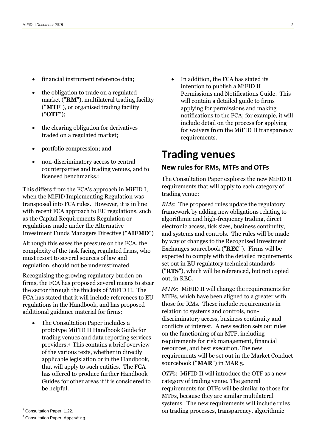- financial instrument reference data;
- the obligation to trade on a regulated market ("**RM**"), multilateral trading facility ("**MTF**"), or organised trading facility ("**OTF**");
- the clearing obligation for derivatives traded on a regulated market;
- portfolio compression; and
- non-discriminatory access to central counterparties and trading venues, and to licensed benchmarks<sup>3</sup>

This differs from the FCA's approach in MiFID I, when the MiFID Implementing Regulation was transposed into FCA rules. However, it is in line with recent FCA approach to EU regulations, such as the Capital Requirements Regulation or regulations made under the Alternative Investment Funds Managers Directive ("**AIFMD**")

Although this eases the pressure on the FCA, the complexity of the task facing regulated firms, who must resort to several sources of law and regulation, should not be underestimated.

Recognising the growing regulatory burden on firms, the FCA has proposed several means to steer the sector through the thickets of MiFID II. The FCA has stated that it will include references to EU regulations in the Handbook, and has proposed additional guidance material for firms:

• The Consultation Paper includes a prototype MiFID II Handbook Guide for trading venues and data reporting services providers. <sup>4</sup> This contains a brief overview of the various texts, whether in directly applicable legislation or in the Handbook, that will apply to such entities. The FCA has offered to produce further Handbook Guides for other areas if it is considered to be helpful.

1

 In addition, the FCA has stated its intention to publish a MiFID II Permissions and Notifications Guide. This will contain a detailed guide to firms applying for permissions and making notifications to the FCA; for example, it will include detail on the process for applying for waivers from the MiFID II transparency requirements.

### **Trading venues**

#### **New rules for RMs, MTFs and OTFs**

The Consultation Paper explores the new MiFID II requirements that will apply to each category of trading venue:

*RMs*: The proposed rules update the regulatory framework by adding new obligations relating to algorithmic and high-frequency trading, direct electronic access, tick sizes, business continuity, and systems and controls. The rules will be made by way of changes to the Recognised Investment Exchanges sourcebook ("**REC**"). Firms will be expected to comply with the detailed requirements set out in EU regulatory technical standards ("**RTS**"), which will be referenced, but not copied out, in REC.

*MTFs*: MiFID II will change the requirements for MTFs, which have been aligned to a greater with those for RMs. These include requirements in relation to systems and controls, nondiscriminatory access, business continuity and conflicts of interest. A new section sets out rules on the functioning of an MTF, including requirements for risk management, financial resources, and best execution. The new requirements will be set out in the Market Conduct sourcebook ("**MAR**") in MAR 5.

*OTFs*: MiFID II will introduce the OTF as a new category of trading venue. The general requirements for OTFs will be similar to those for MTFs, because they are similar multilateral systems. The new requirements will include rules on trading processes, transparency, algorithmic

<sup>&</sup>lt;sup>3</sup> Consultation Paper, 1.22.

<sup>4</sup> Consultation Paper, Appendix 3.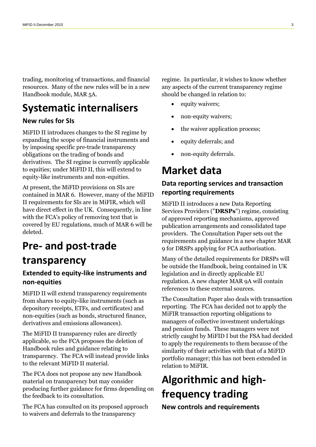trading, monitoring of transactions, and financial resources. Many of the new rules will be in a new Handbook module, MAR 5A.

## **Systematic internalisers**

#### **New rules for SIs**

MiFID II introduces changes to the SI regime by expanding the scope of financial instruments and by imposing specific pre-trade transparency obligations on the trading of bonds and derivatives. The SI regime is currently applicable to equities; under MiFID II, this will extend to equity-like instruments and non-equities.

At present, the MiFID provisions on SIs are contained in MAR 6. However, many of the MiFID II requirements for SIs are in MiFIR, which will have direct effect in the UK. Consequently, in line with the FCA's policy of removing text that is covered by EU regulations, much of MAR 6 will be deleted.

## **Pre- and post-trade**

### **transparency**

#### **Extended to equity-like instruments and non-equities**

MiFID II will extend transparency requirements from shares to equity-like instruments (such as depository receipts, ETFs, and certificates) and non-equities (such as bonds, structured finance, derivatives and emissions allowances).

The MiFID II transparency rules are directly applicable, so the FCA proposes the deletion of Handbook rules and guidance relating to transparency. The FCA will instead provide links to the relevant MiFID II material.

The FCA does not propose any new Handbook material on transparency but may consider producing further guidance for firms depending on the feedback to its consultation.

The FCA has consulted on its proposed approach to waivers and deferrals to the transparency

regime. In particular, it wishes to know whether any aspects of the current transparency regime should be changed in relation to:

- equity waivers;
- non-equity waivers;
- the waiver application process;
- equity deferrals; and
- non-equity deferrals.

## **Market data**

#### **Data reporting services and transaction reporting requirements**

MiFID II introduces a new Data Reporting Services Providers ("**DRSPs**") regime, consisting of approved reporting mechanisms, approved publication arrangements and consolidated tape providers. The Consultation Paper sets out the requirements and guidance in a new chapter MAR 9 for DRSPs applying for FCA authorisation.

Many of the detailed requirements for DRSPs will be outside the Handbook, being contained in UK legislation and in directly applicable EU regulation. A new chapter MAR 9A will contain references to these external sources.

The Consultation Paper also deals with transaction reporting. The FCA has decided not to apply the MiFIR transaction reporting obligations to managers of collective investment undertakings and pension funds. These managers were not strictly caught by MiFID I but the FSA had decided to apply the requirements to them because of the similarity of their activities with that of a MiFID portfolio manager; this has not been extended in relation to MiFIR.

## **Algorithmic and highfrequency trading**

**New controls and requirements**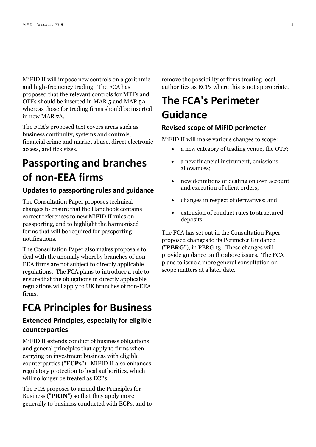MiFID II will impose new controls on algorithmic and high-frequency trading. The FCA has proposed that the relevant controls for MTFs and OTFs should be inserted in MAR 5 and MAR 5A, whereas those for trading firms should be inserted in new MAR 7A.

The FCA's proposed text covers areas such as business continuity, systems and controls, financial crime and market abuse, direct electronic access, and tick sizes.

## **Passporting and branches of non-EEA firms**

#### **Updates to passporting rules and guidance**

The Consultation Paper proposes technical changes to ensure that the Handbook contains correct references to new MiFID II rules on passporting, and to highlight the harmonised forms that will be required for passporting notifications.

The Consultation Paper also makes proposals to deal with the anomaly whereby branches of non-EEA firms are not subject to directly applicable regulations. The FCA plans to introduce a rule to ensure that the obligations in directly applicable regulations will apply to UK branches of non-EEA firms.

## **FCA Principles for Business**

#### **Extended Principles, especially for eligible counterparties**

MiFID II extends conduct of business obligations and general principles that apply to firms when carrying on investment business with eligible counterparties ("**ECPs**"). MiFID II also enhances regulatory protection to local authorities, which will no longer be treated as ECPs.

The FCA proposes to amend the Principles for Business ("**PRIN**") so that they apply more generally to business conducted with ECPs, and to remove the possibility of firms treating local authorities as ECPs where this is not appropriate.

## **The FCA's Perimeter Guidance**

#### **Revised scope of MiFID perimeter**

MiFID II will make various changes to scope:

- a new category of trading venue, the OTF;
- a new financial instrument, emissions allowances;
- new definitions of dealing on own account and execution of client orders;
- changes in respect of derivatives; and
- extension of conduct rules to structured deposits.

The FCA has set out in the Consultation Paper proposed changes to its Perimeter Guidance ("**PERG**"), in PERG 13. These changes will provide guidance on the above issues. The FCA plans to issue a more general consultation on scope matters at a later date.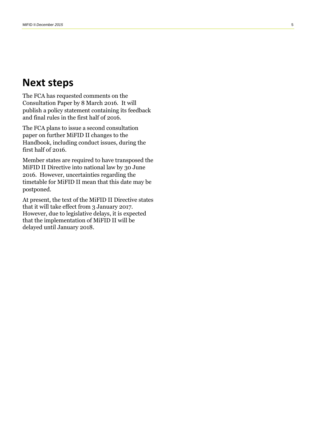### **Next steps**

The FCA has requested comments on the Consultation Paper by 8 March 2016. It will publish a policy statement containing its feedback and final rules in the first half of 2016.

The FCA plans to issue a second consultation paper on further MiFID II changes to the Handbook, including conduct issues, during the first half of 2016.

Member states are required to have transposed the MiFID II Directive into national law by 30 June 2016. However, uncertainties regarding the timetable for MiFID II mean that this date may be postponed.

At present, the text of the MiFID II Directive states that it will take effect from 3 January 2017. However, due to legislative delays, it is expected that the implementation of MiFID II will be delayed until January 2018 .